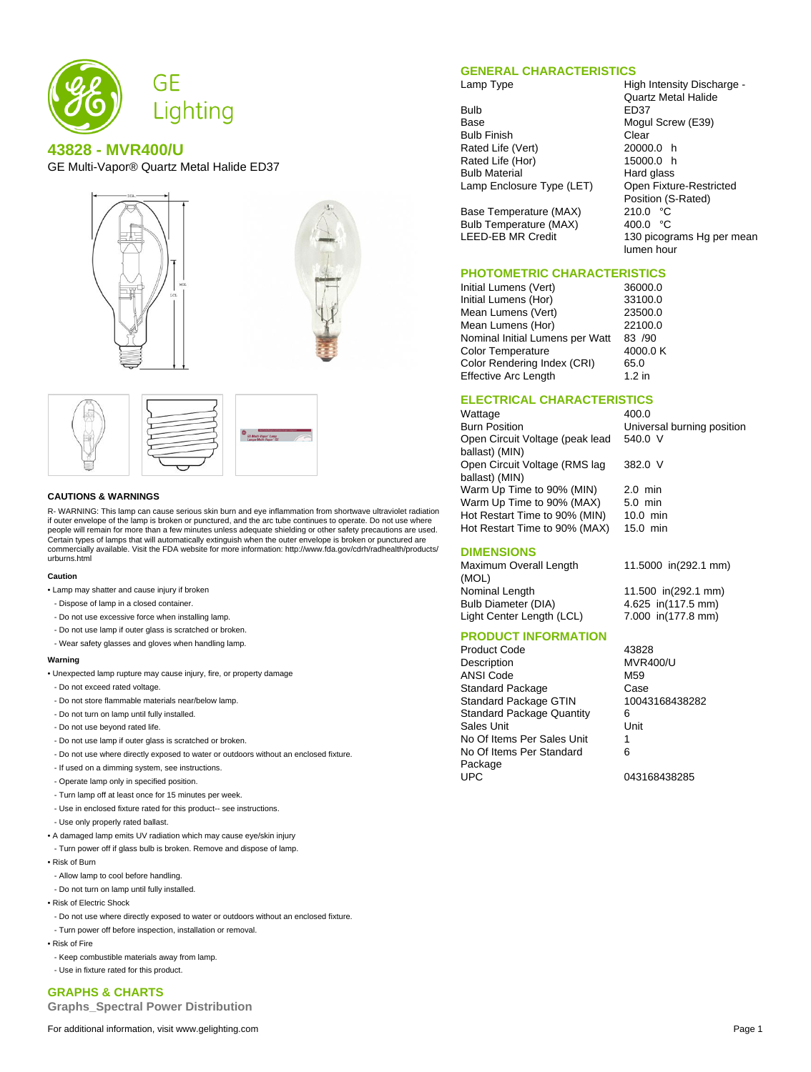

## **43828 - MVR400/U**

GE Multi-Vapor® Quartz Metal Halide ED37





#### **CAUTIONS & WARNINGS**

R- WARNING: This lamp can cause serious skin burn and eye inflammation from shortwave ultraviolet radiation if outer envelope of the lamp is broken or punctured, and the arc tube continues to operate. Do not use where people will remain for more than a few minutes unless adequate shielding or other safety precautions are used. Certain types of lamps that will automatically extinguish when the outer envelope is broken or punctured are commercially available. Visit the FDA website for more information: http://www.fda.gov/cdrh/radhealth/products/ urburns.html

#### **Caution**

• Lamp may shatter and cause injury if broken

- Dispose of lamp in a closed container.
- Do not use excessive force when installing lamp.
- Do not use lamp if outer glass is scratched or broken.
- Wear safety glasses and gloves when handling lamp.

#### **Warning**

- Unexpected lamp rupture may cause injury, fire, or property damage
- Do not exceed rated voltage.
- Do not store flammable materials near/below lamp.
- Do not turn on lamp until fully installed.
- Do not use beyond rated life.
- Do not use lamp if outer glass is scratched or broken.
- Do not use where directly exposed to water or outdoors without an enclosed fixture.
- If used on a dimming system, see instructions.
- Operate lamp only in specified position.
- Turn lamp off at least once for 15 minutes per week.
- Use in enclosed fixture rated for this product-- see instructions.
- Use only properly rated ballast.
- A damaged lamp emits UV radiation which may cause eye/skin injury
- Turn power off if glass bulb is broken. Remove and dispose of lamp.
- Risk of Burn
- Allow lamp to cool before handling.
- Do not turn on lamp until fully installed.
- Risk of Electric Shock
- Do not use where directly exposed to water or outdoors without an enclosed fixture.
- Turn power off before inspection, installation or removal.
- Risk of Fire
- Keep combustible materials away from lamp.
- Use in fixture rated for this product.

#### **GRAPHS & CHARTS**

**Graphs\_Spectral Power Distribution**

For additional information, visit www.gelighting.com **Page 1** and the extent of the extent of the extent of the extent of the extent of the extent of the extent of the extent of the extent of the extent of the extent of th

#### **GENERAL CHARACTERISTICS**

Lamp Type **High Intensity Discharge -**

Bulb ED37<br>Base Mogul Bulb Finish Clear<br>Rated Life (Vert) 20000.0 h Rated Life (Vert) Rated Life (Hor) 15000.0 h Bulb Material **Hard glass**<br>
Lamp Enclosure Type (LET) Open Fixture-Restricted Lamp Enclosure Type (LET)

Base Temperature (MAX) Bulb Temperature (MAX) 400.0 °C LEED-EB MR Credit 130 picograms Hg per mean

# **PHOTOMETRIC CHARACTERISTICS**<br>Initial Lumens (Vert) 36000.0

Initial Lumens (Vert) Initial Lumens (Hor) 33100.0 Mean Lumens (Vert) Mean Lumens (Hor) 22100.0 Nominal Initial Lumens per Watt 83 /90<br>Color Temperature 4000.0 K Color Temperature Color Rendering Index (CRI) 65.0 Effective Arc Length 1.2 in

### **ELECTRICAL CHARACTERISTICS**

Wattage 400.0<br>Burn Position 600 Unive Universal burning position Open Circuit Voltage (peak lead ballast) (MIN) 540.0 V Open Circuit Voltage (RMS lag ballast) (MIN) 382.0 V Warm Up Time to 90% (MIN) 2.0 min Warm Up Time to 90% (MAX) 5.0 min<br>Hot Restart Time to 90% (MIN) 10.0 min Hot Restart Time to 90% (MIN) Hot Restart Time to 90% (MAX) 15.0 min

# 11.5000 in(292.1 mm)

Quartz Metal Halide

Mogul Screw (E39)

Position (S-Rated)<br>210.0 °C

lumen hour

Nominal Length 11.500 in(292.1 mm)<br>Bulb Diameter (DIA) 4.625 in(117.5 mm) 4.625 in(117.5 mm) Light Center Length (LCL) 7.000 in(177.8 mm)

#### **PRODUCT INFORMATION**

**DIMENSIONS** Maximum Overall Length

(MOL)<br>Nominal Length

Product Code 43828 Description MVR400/U ANSI Code M59 Standard Package Case<br>
Standard Package GTIN 10043168438282 Standard Package GTIN Standard Package Quantity 6 Sales Unit Unit No Of Items Per Sales Unit 1 No Of Items Per Standard Package<br>UPC

6

043168438285